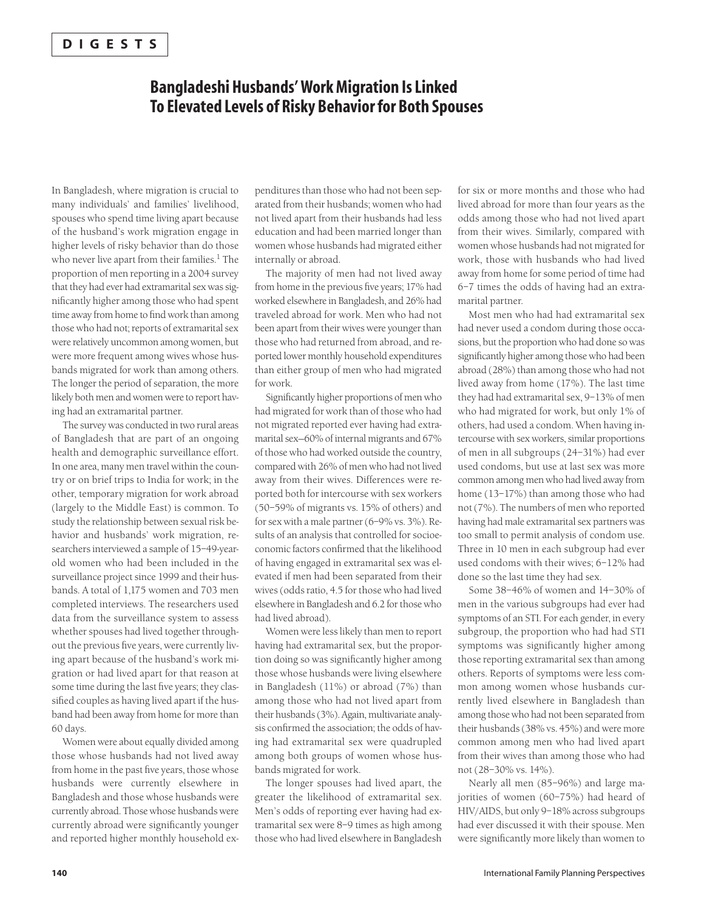### **DIGESTS**

# **Bangladeshi Husbands' Work Migration Is Linked To Elevated Levels of Risky Behavior for Both Spouses**

In Bangladesh, where migration is crucial to many individuals' and families' livelihood, spouses who spend time living apart because of the husband's work migration engage in higher levels of risky behavior than do those who never live apart from their families.<sup>1</sup> The proportion of men reporting in a 2004 survey that they had ever had extramarital sex was significantly higher among those who had spent time away from home to find work than among those who had not; reports of extramarital sex were relatively uncommon among women, but were more frequent among wives whose husbands migrated for work than among others. The longer the period of separation, the more likely both men and women were to report having had an extramarital partner.

The survey was conducted in two rural areas of Bangladesh that are part of an ongoing health and demographic surveillance effort. In one area, many men travel within the country or on brief trips to India for work; in the other, temporary migration for work abroad (largely to the Middle East) is common. To study the relationship between sexual risk behavior and husbands' work migration, researchers interviewed a sample of 15–49-yearold women who had been included in the surveillance project since 1999 and their husbands. A total of 1,175 women and 703 men completed interviews. The researchers used data from the surveillance system to assess whether spouses had lived together throughout the previous five years, were currently living apart because of the husband's work migration or had lived apart for that reason at some time during the last five years; they classified couples as having lived apart if the husband had been away from home for more than 60 days.

Women were about equally divided among those whose husbands had not lived away from home in the past five years, those whose husbands were currently elsewhere in Bangladesh and those whose husbands were currently abroad. Those whose husbands were currently abroad were significantly younger and reported higher monthly household ex-

penditures than those who had not been separated from their husbands; women who had not lived apart from their husbands had less education and had been married longer than women whose husbands had migrated either internally or abroad.

The majority of men had not lived away from home in the previous five years; 17% had worked elsewhere in Bangladesh, and 26% had traveled abroad for work. Men who had not been apart from their wives were younger than those who had returned from abroad, and reported lower monthly household expenditures than either group of men who had migrated for work.

Significantly higher proportions of men who had migrated for work than of those who had not migrated reported ever having had extramarital sex—60% of internal migrants and 67% of those who had worked outside the country, compared with 26% of men who had not lived away from their wives. Differences were reported both for intercourse with sex workers (50–59% of migrants vs. 15% of others) and for sex with a male partner (6–9% vs. 3%). Results of an analysis that controlled for socioeconomic factors confirmed that the likelihood of having engaged in extramarital sex was elevated if men had been separated from their wives (odds ratio, 4.5 for those who had lived elsewhere in Bangladesh and 6.2 for those who had lived abroad).

Women were less likely than men to report having had extramarital sex, but the proportion doing so was significantly higher among those whose husbands were living elsewhere in Bangladesh (11%) or abroad (7%) than among those who had not lived apart from their husbands (3%). Again, multivariate analysis confirmed the association; the odds of having had extramarital sex were quadrupled among both groups of women whose husbands migrated for work.

The longer spouses had lived apart, the greater the likelihood of extramarital sex. Men's odds of reporting ever having had extramarital sex were 8–9 times as high among those who had lived elsewhere in Bangladesh for six or more months and those who had lived abroad for more than four years as the odds among those who had not lived apart from their wives. Similarly, compared with women whose husbands had not migrated for work, those with husbands who had lived away from home for some period of time had 6–7 times the odds of having had an extramarital partner.

Most men who had had extramarital sex had never used a condom during those occasions, but the proportion who had done so was significantly higher among those who had been abroad (28%) than among those who had not lived away from home (17%). The last time they had had extramarital sex, 9–13% of men who had migrated for work, but only 1% of others, had used a condom. When having intercourse with sex workers, similar proportions of men in all subgroups (24–31%) had ever used condoms, but use at last sex was more common among men who had lived away from home (13–17%) than among those who had not (7%). The numbers of men who reported having had male extramarital sex partners was too small to permit analysis of condom use. Three in 10 men in each subgroup had ever used condoms with their wives; 6–12% had done so the last time they had sex.

Some 38–46% of women and 14–30% of men in the various subgroups had ever had symptoms of an STI. For each gender, in every subgroup, the proportion who had had STI symptoms was significantly higher among those reporting extramarital sex than among others. Reports of symptoms were less common among women whose husbands currently lived elsewhere in Bangladesh than among those who had not been separated from their husbands (38% vs. 45%) and were more common among men who had lived apart from their wives than among those who had not (28–30% vs. 14%).

Nearly all men (85–96%) and large majorities of women (60–75%) had heard of HIV/AIDS, but only 9–18% across subgroups had ever discussed it with their spouse. Men were significantly more likely than women to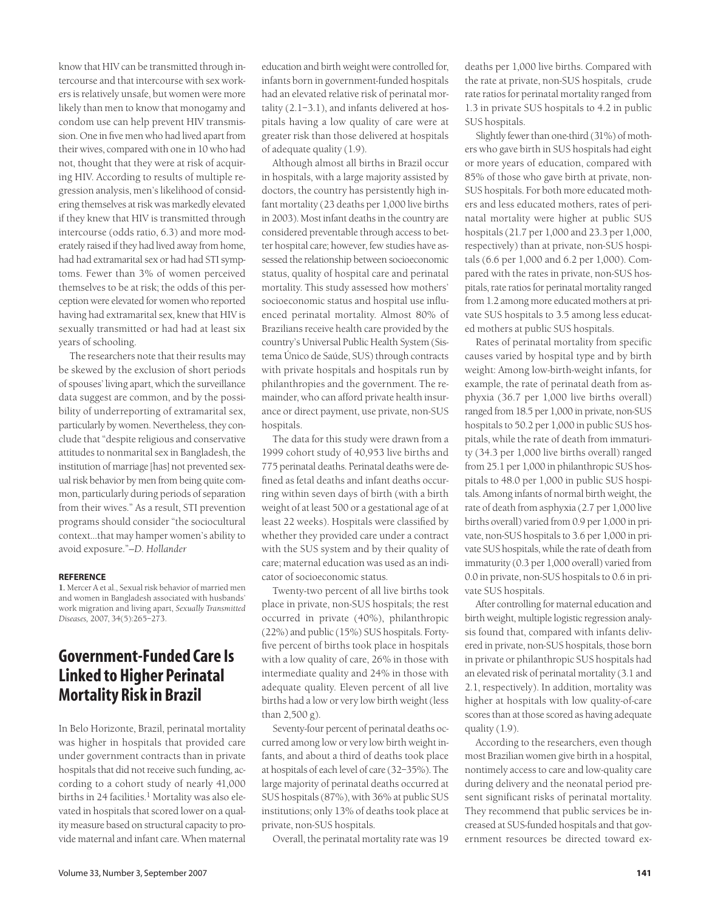know that HIV can be transmitted through intercourse and that intercourse with sex workers is relatively unsafe, but women were more likely than men to know that monogamy and condom use can help prevent HIV transmission. One in five men who had lived apart from their wives, compared with one in 10 who had not, thought that they were at risk of acquiring HIV. According to results of multiple regression analysis, men's likelihood of considering themselves at risk was markedly elevated if they knew that HIV is transmitted through intercourse (odds ratio, 6.3) and more moderately raised if they had lived away from home, had had extramarital sex or had had STI symptoms. Fewer than 3% of women perceived themselves to be at risk; the odds of this perception were elevated for women who reported having had extramarital sex, knew that HIV is sexually transmitted or had had at least six years of schooling.

The researchers note that their results may be skewed by the exclusion of short periods of spouses' living apart, which the surveillance data suggest are common, and by the possibility of underreporting of extramarital sex, particularly by women. Nevertheless, they conclude that "despite religious and conservative attitudes to nonmarital sex in Bangladesh, the institution of marriage [has] not prevented sexual risk behavior by men from being quite common, particularly during periods of separation from their wives." As a result, STI prevention programs should consider "the sociocultural context…that may hamper women's ability to avoid exposure."*—D. Hollander*

#### **REFERENCE**

**1.** Mercer A et al., Sexual risk behavior of married men and women in Bangladesh associated with husbands' work migration and living apart, *Sexually Transmitted Diseases,* 2007, 34(5):265–273.

### **Government-Funded Care Is Linked to Higher Perinatal Mortality Risk in Brazil**

In Belo Horizonte, Brazil, perinatal mortality was higher in hospitals that provided care under government contracts than in private hospitals that did not receive such funding, according to a cohort study of nearly 41,000 births in 24 facilities.<sup>1</sup> Mortality was also elevated in hospitals that scored lower on a quality measure based on structural capacity to provide maternal and infant care. When maternal

education and birth weight were controlled for, infants born in government-funded hospitals had an elevated relative risk of perinatal mortality (2.1–3.1), and infants delivered at hospitals having a low quality of care were at greater risk than those delivered at hospitals of adequate quality (1.9).

Although almost all births in Brazil occur in hospitals, with a large majority assisted by doctors, the country has persistently high infant mortality (23 deaths per 1,000 live births in 2003). Most infant deaths in the country are considered preventable through access to better hospital care; however, few studies have assessed the relationship between socioeconomic status, quality of hospital care and perinatal mortality. This study assessed how mothers' socioeconomic status and hospital use influenced perinatal mortality. Almost 80% of Brazilians receive health care provided by the country's Universal Public Health System (Sistema Único de Saúde, SUS) through contracts with private hospitals and hospitals run by philanthropies and the government. The remainder, who can afford private health insurance or direct payment, use private, non-SUS hospitals.

The data for this study were drawn from a 1999 cohort study of 40,953 live births and 775 perinatal deaths. Perinatal deaths were defined as fetal deaths and infant deaths occurring within seven days of birth (with a birth weight of at least 500 or a gestational age of at least 22 weeks). Hospitals were classified by whether they provided care under a contract with the SUS system and by their quality of care; maternal education was used as an indicator of socioeconomic status.

Twenty-two percent of all live births took place in private, non-SUS hospitals; the rest occurred in private (40%), philanthropic (22%) and public (15%) SUS hospitals. Fortyfive percent of births took place in hospitals with a low quality of care, 26% in those with intermediate quality and 24% in those with adequate quality. Eleven percent of all live births had a low or very low birth weight (less than 2,500 g).

Seventy-four percent of perinatal deaths occurred among low or very low birth weight infants, and about a third of deaths took place at hospitals of each level of care (32–35%). The large majority of perinatal deaths occurred at SUS hospitals (87%), with 36% at public SUS institutions; only 13% of deaths took place at private, non-SUS hospitals.

Overall, the perinatal mortality rate was 19

deaths per 1,000 live births. Compared with the rate at private, non-SUS hospitals, crude rate ratios for perinatal mortality ranged from 1.3 in private SUS hospitals to 4.2 in public SUS hospitals.

Slightly fewer than one-third (31%) of mothers who gave birth in SUS hospitals had eight or more years of education, compared with 85% of those who gave birth at private, non-SUS hospitals. For both more educated mothers and less educated mothers, rates of perinatal mortality were higher at public SUS hospitals (21.7 per 1,000 and 23.3 per 1,000, respectively) than at private, non-SUS hospitals (6.6 per 1,000 and 6.2 per 1,000). Compared with the rates in private, non-SUS hospitals, rate ratios for perinatal mortality ranged from 1.2 among more educated mothers at private SUS hospitals to 3.5 among less educated mothers at public SUS hospitals.

Rates of perinatal mortality from specific causes varied by hospital type and by birth weight: Among low-birth-weight infants, for example, the rate of perinatal death from asphyxia (36.7 per 1,000 live births overall) ranged from 18.5 per 1,000 in private, non-SUS hospitals to 50.2 per 1,000 in public SUS hospitals, while the rate of death from immaturity (34.3 per 1,000 live births overall) ranged from 25.1 per 1,000 in philanthropic SUS hospitals to 48.0 per 1,000 in public SUS hospitals. Among infants of normal birth weight, the rate of death from asphyxia (2.7 per 1,000 live births overall) varied from 0.9 per 1,000 in private, non-SUS hospitals to 3.6 per 1,000 in private SUS hospitals, while the rate of death from immaturity (0.3 per 1,000 overall) varied from 0.0 in private, non-SUS hospitals to 0.6 in private SUS hospitals.

After controlling for maternal education and birth weight, multiple logistic regression analysis found that, compared with infants delivered in private, non-SUS hospitals, those born in private or philanthropic SUS hospitals had an elevated risk of perinatal mortality (3.1 and 2.1, respectively). In addition, mortality was higher at hospitals with low quality-of-care scores than at those scored as having adequate quality (1.9).

According to the researchers, even though most Brazilian women give birth in a hospital, nontimely access to care and low-quality care during delivery and the neonatal period present significant risks of perinatal mortality. They recommend that public services be increased at SUS-funded hospitals and that government resources be directed toward ex-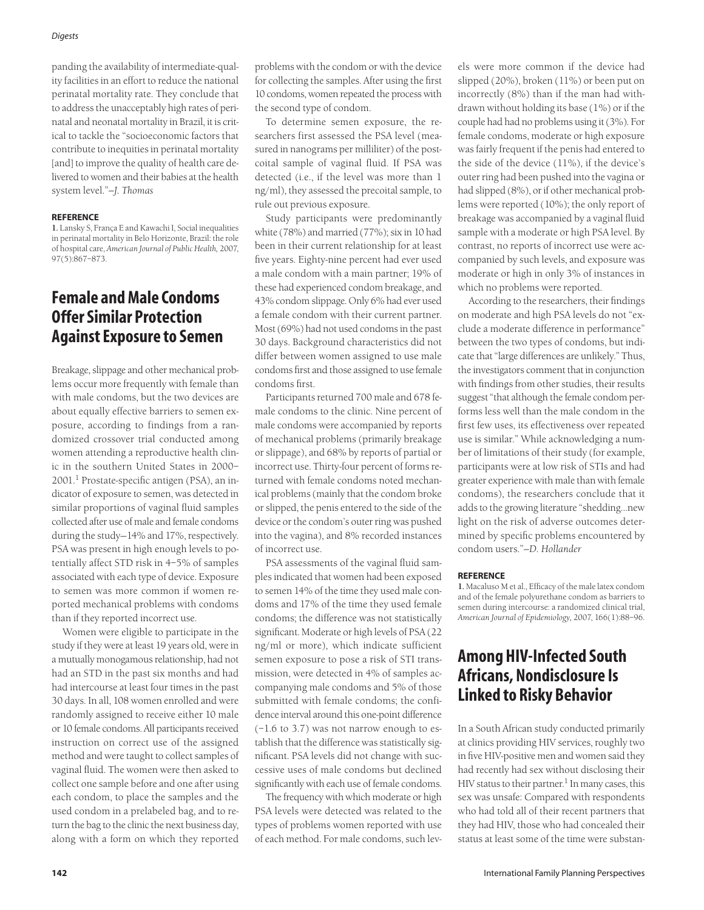### *Digests*

panding the availability of intermediate-quality facilities in an effort to reduce the national perinatal mortality rate. They conclude that to address the unacceptably high rates of perinatal and neonatal mortality in Brazil, it is critical to tackle the "socioeconomic factors that contribute to inequities in perinatal mortality [and] to improve the quality of health care delivered to women and their babies at the health system level."*—J. Thomas*

#### **REFERENCE**

**1.** Lansky S, França E and Kawachi I, Social inequalities in perinatal mortality in Belo Horizonte, Brazil: the role of hospital care, *American Journal of Public Health,* 2007, 97(5):867–873.

### **Female and Male Condoms Offer Similar Protection Against Exposure to Semen**

Breakage, slippage and other mechanical problems occur more frequently with female than with male condoms, but the two devices are about equally effective barriers to semen exposure, according to findings from a randomized crossover trial conducted among women attending a reproductive health clinic in the southern United States in 2000– 2001.<sup>1</sup> Prostate-specific antigen (PSA), an indicator of exposure to semen, was detected in similar proportions of vaginal fluid samples collected after use of male and female condoms during the study—14% and 17%, respectively. PSA was present in high enough levels to potentially affect STD risk in 4–5% of samples associated with each type of device. Exposure to semen was more common if women reported mechanical problems with condoms than if they reported incorrect use.

Women were eligible to participate in the study if they were at least 19 years old, were in a mutually monogamous relationship, had not had an STD in the past six months and had had intercourse at least four times in the past 30 days. In all, 108 women enrolled and were randomly assigned to receive either 10 male or 10 female condoms. All participants received instruction on correct use of the assigned method and were taught to collect samples of vaginal fluid. The women were then asked to collect one sample before and one after using each condom, to place the samples and the used condom in a prelabeled bag, and to return the bag to the clinic the next business day, along with a form on which they reported

problems with the condom or with the device for collecting the samples. After using the first 10 condoms, women repeated the process with the second type of condom.

To determine semen exposure, the researchers first assessed the PSA level (measured in nanograms per milliliter) of the postcoital sample of vaginal fluid. If PSA was detected (i.e., if the level was more than 1 ng/ml), they assessed the precoital sample, to rule out previous exposure.

Study participants were predominantly white (78%) and married (77%); six in 10 had been in their current relationship for at least five years. Eighty-nine percent had ever used a male condom with a main partner; 19% of these had experienced condom breakage, and 43% condom slippage. Only 6% had ever used a female condom with their current partner. Most (69%) had not used condoms in the past 30 days. Background characteristics did not differ between women assigned to use male condoms first and those assigned to use female condoms first.

Participants returned 700 male and 678 female condoms to the clinic. Nine percent of male condoms were accompanied by reports of mechanical problems (primarily breakage or slippage), and 68% by reports of partial or incorrect use. Thirty-four percent of forms returned with female condoms noted mechanical problems (mainly that the condom broke or slipped, the penis entered to the side of the device or the condom's outer ring was pushed into the vagina), and 8% recorded instances of incorrect use.

PSA assessments of the vaginal fluid samples indicated that women had been exposed to semen 14% of the time they used male condoms and 17% of the time they used female condoms; the difference was not statistically significant. Moderate or high levels of PSA (22 ng/ml or more), which indicate sufficient semen exposure to pose a risk of STI transmission, were detected in 4% of samples accompanying male condoms and 5% of those submitted with female condoms; the confidence interval around this one-point difference (–1.6 to 3.7) was not narrow enough to establish that the difference was statistically significant. PSA levels did not change with successive uses of male condoms but declined significantly with each use of female condoms.

The frequency with which moderate or high PSA levels were detected was related to the types of problems women reported with use of each method. For male condoms, such levels were more common if the device had slipped (20%), broken (11%) or been put on incorrectly (8%) than if the man had withdrawn without holding its base (1%) or if the couple had had no problems using it (3%). For female condoms, moderate or high exposure was fairly frequent if the penis had entered to the side of the device (11%), if the device's outer ring had been pushed into the vagina or had slipped (8%), or if other mechanical problems were reported (10%); the only report of breakage was accompanied by a vaginal fluid sample with a moderate or high PSA level. By contrast, no reports of incorrect use were accompanied by such levels, and exposure was moderate or high in only 3% of instances in which no problems were reported.

According to the researchers, their findings on moderate and high PSA levels do not "exclude a moderate difference in performance" between the two types of condoms, but indicate that "large differences are unlikely." Thus, the investigators comment that in conjunction with findings from other studies, their results suggest "that although the female condom performs less well than the male condom in the first few uses, its effectiveness over repeated use is similar." While acknowledging a number of limitations of their study (for example, participants were at low risk of STIs and had greater experience with male than with female condoms), the researchers conclude that it adds to the growing literature "shedding…new light on the risk of adverse outcomes determined by specific problems encountered by condom users."*—D. Hollander*

#### **REFERENCE**

**1.** Macaluso M et al., Efficacy of the male latex condom and of the female polyurethane condom as barriers to semen during intercourse: a randomized clinical trial, *American Journal of Epidemiology,* 2007, 166(1):88–96.

# **Among HIV-Infected South Africans, Nondisclosure Is Linked to Risky Behavior**

In a South African study conducted primarily at clinics providing HIV services, roughly two in five HIV-positive men and women said they had recently had sex without disclosing their  $HIV$  status to their partner.<sup>1</sup> In many cases, this sex was unsafe: Compared with respondents who had told all of their recent partners that they had HIV, those who had concealed their status at least some of the time were substan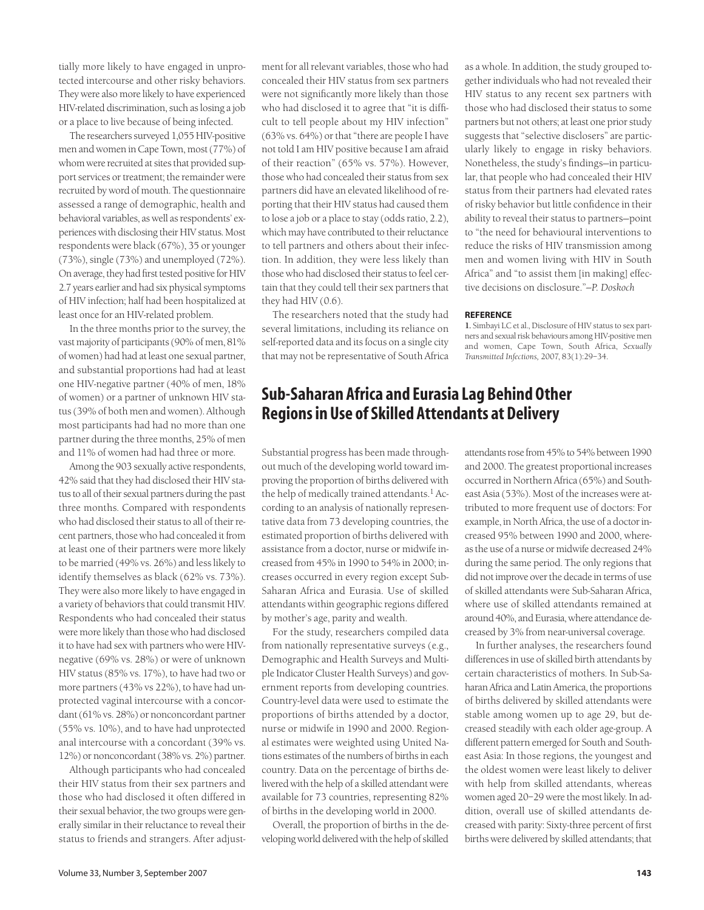tially more likely to have engaged in unprotected intercourse and other risky behaviors. They were also more likely to have experienced HIV-related discrimination, such as losing a job or a place to live because of being infected.

The researchers surveyed 1,055 HIV-positive men and women in Cape Town, most (77%) of whom were recruited at sites that provided support services or treatment; the remainder were recruited by word of mouth. The questionnaire assessed a range of demographic, health and behavioral variables, as well as respondents' experiences with disclosing their HIV status. Most respondents were black (67%), 35 or younger (73%), single (73%) and unemployed (72%). On average, they had first tested positive for HIV 2.7 years earlier and had six physical symptoms of HIV infection; half had been hospitalized at least once for an HIV-related problem.

In the three months prior to the survey, the vast majority of participants (90% of men, 81% of women) had had at least one sexual partner, and substantial proportions had had at least one HIV-negative partner (40% of men, 18% of women) or a partner of unknown HIV status (39% of both men and women). Although most participants had had no more than one partner during the three months, 25% of men and 11% of women had had three or more.

Among the 903 sexually active respondents, 42% said that they had disclosed their HIV status to all of their sexual partners during the past three months. Compared with respondents who had disclosed their status to all of their recent partners, those who had concealed it from at least one of their partners were more likely to be married (49% vs. 26%) and less likely to identify themselves as black (62% vs. 73%). They were also more likely to have engaged in a variety of behaviors that could transmit HIV. Respondents who had concealed their status were more likely than those who had disclosed it to have had sex with partners who were HIVnegative (69% vs. 28%) or were of unknown HIV status (85% vs. 17%), to have had two or more partners (43% vs 22%), to have had unprotected vaginal intercourse with a concordant (61% vs. 28%) or nonconcordant partner (55% vs. 10%), and to have had unprotected anal intercourse with a concordant (39% vs. 12%) or nonconcordant (38% vs. 2%) partner.

Although participants who had concealed their HIV status from their sex partners and those who had disclosed it often differed in their sexual behavior, the two groups were generally similar in their reluctance to reveal their status to friends and strangers. After adjustment for all relevant variables, those who had concealed their HIV status from sex partners were not significantly more likely than those who had disclosed it to agree that "it is difficult to tell people about my HIV infection" (63% vs. 64%) or that "there are people I have not told I am HIV positive because I am afraid of their reaction" (65% vs. 57%). However, those who had concealed their status from sex partners did have an elevated likelihood of reporting that their HIV status had caused them to lose a job or a place to stay (odds ratio, 2.2), which may have contributed to their reluctance to tell partners and others about their infection. In addition, they were less likely than those who had disclosed their status to feel certain that they could tell their sex partners that they had HIV (0.6).

The researchers noted that the study had several limitations, including its reliance on self-reported data and its focus on a single city that may not be representative of South Africa as a whole. In addition, the study grouped together individuals who had not revealed their HIV status to any recent sex partners with those who had disclosed their status to some partners but not others; at least one prior study suggests that "selective disclosers" are particularly likely to engage in risky behaviors. Nonetheless, the study's findings—in particular, that people who had concealed their HIV status from their partners had elevated rates of risky behavior but little confidence in their ability to reveal their status to partners—point to "the need for behavioural interventions to reduce the risks of HIV transmission among men and women living with HIV in South Africa" and "to assist them [in making] effective decisions on disclosure."*—P. Doskoch*

#### **REFERENCE**

**1.** Simbayi LC et al., Disclosure of HIV status to sex partners and sexual risk behaviours among HIV-positive men and women, Cape Town, South Africa, *Sexually Transmitted Infections,* 2007, 83(1):29–34.

# **Sub-Saharan Africa and Eurasia Lag Behind Other Regions in Use of Skilled Attendants at Delivery**

Substantial progress has been made throughout much of the developing world toward improving the proportion of births delivered with the help of medically trained attendants.<sup>1</sup> According to an analysis of nationally representative data from 73 developing countries, the estimated proportion of births delivered with assistance from a doctor, nurse or midwife increased from 45% in 1990 to 54% in 2000; increases occurred in every region except Sub-Saharan Africa and Eurasia. Use of skilled attendants within geographic regions differed by mother's age, parity and wealth.

For the study, researchers compiled data from nationally representative surveys (e.g., Demographic and Health Surveys and Multiple Indicator Cluster Health Surveys) and government reports from developing countries. Country-level data were used to estimate the proportions of births attended by a doctor, nurse or midwife in 1990 and 2000. Regional estimates were weighted using United Nations estimates of the numbers of births in each country. Data on the percentage of births delivered with the help of a skilled attendant were available for 73 countries, representing 82% of births in the developing world in 2000.

Overall, the proportion of births in the developing world delivered with the help of skilled attendants rose from 45% to 54% between 1990 and 2000. The greatest proportional increases occurred in Northern Africa (65%) and Southeast Asia (53%). Most of the increases were attributed to more frequent use of doctors: For example, in North Africa, the use of a doctor increased 95% between 1990 and 2000, whereas the use of a nurse or midwife decreased 24% during the same period. The only regions that did not improve over the decade in terms of use of skilled attendants were Sub-Saharan Africa, where use of skilled attendants remained at around 40%, and Eurasia, where attendance decreased by 3% from near-universal coverage.

In further analyses, the researchers found differences in use of skilled birth attendants by certain characteristics of mothers. In Sub-Saharan Africa and Latin America, the proportions of births delivered by skilled attendants were stable among women up to age 29, but decreased steadily with each older age-group. A different pattern emerged for South and Southeast Asia: In those regions, the youngest and the oldest women were least likely to deliver with help from skilled attendants, whereas women aged 20–29 were the most likely. In addition, overall use of skilled attendants decreased with parity: Sixty-three percent of first births were delivered by skilled attendants; that